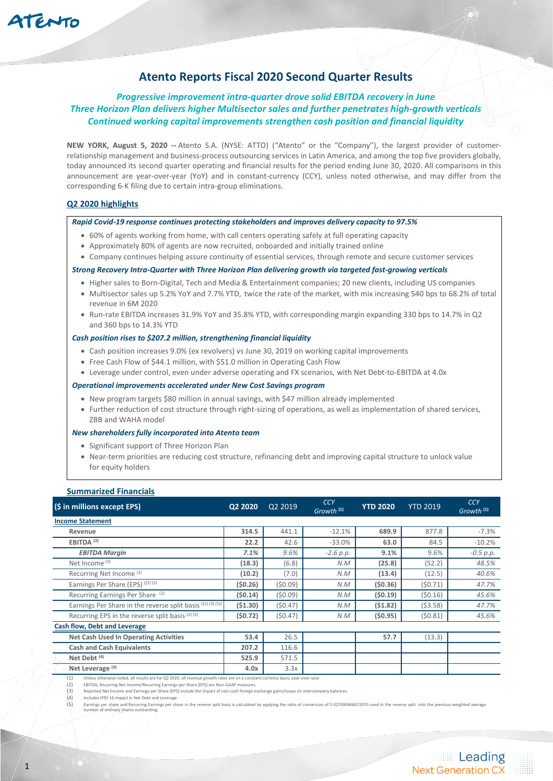## **Atento Reports Fiscal 2020 Second Quarter Results**

## *Progressive improvement intra-quarter drove solid EBITDA recovery in June Three Horizon Plan delivers higher Multisector sales and further penetrates high-growth verticals Continued working capital improvements strengthen cash position and financial liquidity*

**NEW YORK, August 5, 2020 --** Atento S.A. (NYSE: ATTO) ("Atento" or the "Company"), the largest provider of customerrelationship management and business-process outsourcing services in Latin America, and among the top five providers globally, today announced its second quarter operating and financial results for the period ending June 30, 2020. All comparisons in this announcement are year-over-year (YoY) and in constant-currency (CCY), unless noted otherwise, and may differ from the corresponding 6-K filing due to certain intra-group eliminations.

## **Q2 2020 highlights**

#### *Rapid Covid-19 response continues protecting stakeholders and improves delivery capacity to 97.5%*

- 60% of agents working from home, with call centers operating safely at full operating capacity
- Approximately 80% of agents are now recruited, onboarded and initially trained online
- Company continues helping assure continuity of essential services, through remote and secure customer services

#### *Strong Recovery Intra-Quarter with Three Horizon Plan delivering growth via targeted fast-growing verticals*

- Higher sales to Born-Digital, Tech and Media & Entertainment companies; 20 new clients, including US companies
- Multisector sales up 5.2% YoY and 7.7% YTD, twice the rate of the market, with mix increasing 540 bps to 68.2% of total revenue in 6M 2020
- Run-rate EBITDA increases 31.9% YoY and 35.8% YTD, with corresponding margin expanding 330 bps to 14.7% in Q2 and 360 bps to 14.3% YTD

#### *Cash position rises to \$207.2 million, strengthening financial liquidity*

- Cash position increases 9.0% (ex revolvers) vs June 30, 2019 on working capital improvements
- Free Cash Flow of \$44.1 million, with \$51.0 million in Operating Cash Flow
- Leverage under control, even under adverse operating and FX scenarios, with Net Debt-to-EBITDA at 4.0x

#### *Operational improvements accelerated under New Cost Savings program*

- New program targets \$80 million in annual savings, with \$47 million already implemented
- Further reduction of cost structure through right-sizing of operations, as well as implementation of shared services, ZBB and WAHA model

#### *New shareholders fully incorporated into Atento team*

- Significant support of Three Horizon Plan
- Near-term priorities are reducing cost structure, refinancing debt and improving capital structure to unlock value for equity holders

### **Summarized Financials**

| (\$ in millions except EPS)                                                                                                                                     | Q2 2020 | Q2 2019 | <b>CCY</b><br>Growth <sup>(1)</sup> | <b>YTD 2020</b> | <b>YTD 2019</b> | <b>CCY</b><br>Growth <sup>(1)</sup> |
|-----------------------------------------------------------------------------------------------------------------------------------------------------------------|---------|---------|-------------------------------------|-----------------|-----------------|-------------------------------------|
| <b>Income Statement</b>                                                                                                                                         |         |         |                                     |                 |                 |                                     |
| Revenue                                                                                                                                                         | 314.5   | 441.1   | $-12.1%$                            | 689.9           | 877.8           | $-7.3%$                             |
| EBITDA <sup>(2)</sup>                                                                                                                                           | 22.2    | 42.6    | $-33.0%$                            | 63.0            | 84.5            | $-10.2%$                            |
| <b>EBITDA Margin</b>                                                                                                                                            | 7.1%    | 9.6%    | $-2.6 p.p.$                         | 9.1%            | 9.6%            | $-0.5 p.p.$                         |
| Net Income <sup>(3)</sup>                                                                                                                                       | (18.3)  | (6.8)   | N.M                                 | (25.8)          | (52.2)          | 48.5%                               |
| Recurring Net Income <sup>(2)</sup>                                                                                                                             | (10.2)  | (7.0)   | N.M                                 | (13.4)          | (12.5)          | 40.6%                               |
| Earnings Per Share (EPS) ((2) (3)                                                                                                                               | (50.26) | (50.09) | N.M                                 | (50.36)         | (50.71)         | 47.7%                               |
| Recurring Earnings Per Share <sup>(2)</sup>                                                                                                                     | (50.14) | (50.09) | N.M                                 | (50.19)         | (50.16)         | 45.6%                               |
| Earnings Per Share in the reverse split basis ((2) (3) (5))                                                                                                     | (51.30) | (50.47) | N.M                                 | (51.82)         | ( \$3.58)       | 47.7%                               |
| Recurring EPS in the reverse split basis (2) (5)                                                                                                                | (50.72) | (50.47) | N.M                                 | (50.95)         | (50.81)         | 45.6%                               |
| <b>Cash flow, Debt and Leverage</b>                                                                                                                             |         |         |                                     |                 |                 |                                     |
| <b>Net Cash Used In Operating Activities</b>                                                                                                                    | 53.4    | 26.5    |                                     | 57.7            | (13.3)          |                                     |
| <b>Cash and Cash Equivalents</b>                                                                                                                                | 207.2   | 116.6   |                                     |                 |                 |                                     |
| Net Debt <sup>(4)</sup>                                                                                                                                         | 525.9   | 571.5   |                                     |                 |                 |                                     |
| Net Leverage <sup>(4)</sup><br>(1) Halace ethnology and all security and far O22020, all seconds are detected and an appropriate consequence in the consequence | 4.0x    | 3.3x    |                                     |                 |                 |                                     |

(1) Unless otherwise noted, all results are for Q2 2020; all revenue growth rates are on a constant currency basis, year-over-year. (2) EBITDA, Recurring Net Income/Recurring Earnings per Share (EPS) are Non-GAAP measures.

(3) Reported Net Income and Earnings per Share (EPS) include the impact of non-cash foreign exchange gains/losses on intercompany balances.

Includes IFRS 16 impact in Net Debt and Leverage

Earnings per share and Recurring Earnings per share in the reverse split basis is calculated by applying the ratio of conversion of 5.027090466672970 used in the reverse split into the previous weighted average number of ordinary shares outstanding

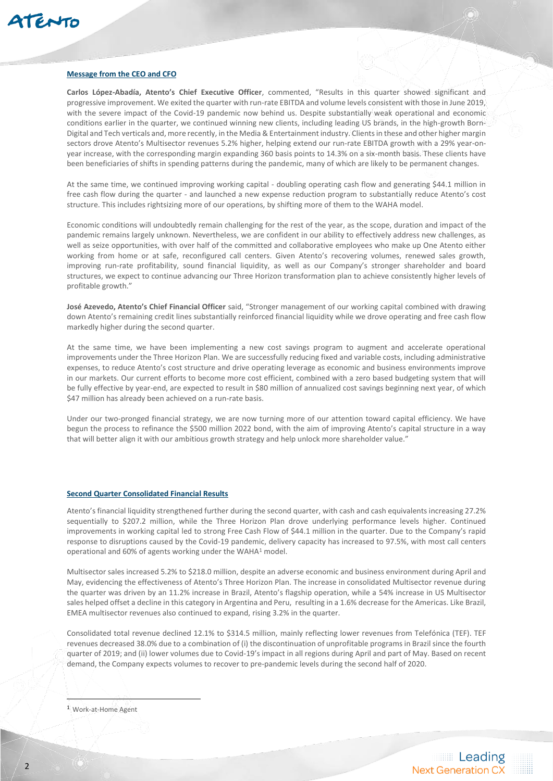#### **Message from the CEO and CFO**

**Carlos López-Abadía, Atento's Chief Executive Officer**, commented, "Results in this quarter showed significant and progressive improvement. We exited the quarter with run-rate EBITDA and volume levels consistent with those in June 2019, with the severe impact of the Covid-19 pandemic now behind us. Despite substantially weak operational and economic conditions earlier in the quarter, we continued winning new clients, including leading US brands, in the high-growth Born-Digital and Tech verticals and, more recently, in the Media & Entertainment industry. Clients in these and other higher margin sectors drove Atento's Multisector revenues 5.2% higher, helping extend our run-rate EBITDA growth with a 29% year-onyear increase, with the corresponding margin expanding 360 basis points to 14.3% on a six-month basis. These clients have been beneficiaries of shifts in spending patterns during the pandemic, many of which are likely to be permanent changes.

At the same time, we continued improving working capital - doubling operating cash flow and generating \$44.1 million in free cash flow during the quarter - and launched a new expense reduction program to substantially reduce Atento's cost structure. This includes rightsizing more of our operations, by shifting more of them to the WAHA model.

Economic conditions will undoubtedly remain challenging for the rest of the year, as the scope, duration and impact of the pandemic remains largely unknown. Nevertheless, we are confident in our ability to effectively address new challenges, as well as seize opportunities, with over half of the committed and collaborative employees who make up One Atento either working from home or at safe, reconfigured call centers. Given Atento's recovering volumes, renewed sales growth, improving run-rate profitability, sound financial liquidity, as well as our Company's stronger shareholder and board structures, we expect to continue advancing our Three Horizon transformation plan to achieve consistently higher levels of profitable growth."

**José Azevedo, Atento's Chief Financial Officer** said, "Stronger management of our working capital combined with drawing down Atento's remaining credit lines substantially reinforced financial liquidity while we drove operating and free cash flow markedly higher during the second quarter.

At the same time, we have been implementing a new cost savings program to augment and accelerate operational improvements under the Three Horizon Plan. We are successfully reducing fixed and variable costs, including administrative expenses, to reduce Atento's cost structure and drive operating leverage as economic and business environments improve in our markets. Our current efforts to become more cost efficient, combined with a zero based budgeting system that will be fully effective by year-end, are expected to result in \$80 million of annualized cost savings beginning next year, of which \$47 million has already been achieved on a run-rate basis.

Under our two-pronged financial strategy, we are now turning more of our attention toward capital efficiency. We have begun the process to refinance the \$500 million 2022 bond, with the aim of improving Atento's capital structure in a way that will better align it with our ambitious growth strategy and help unlock more shareholder value."

#### **Second Quarter Consolidated Financial Results**

Atento's financial liquidity strengthened further during the second quarter, with cash and cash equivalents increasing 27.2% sequentially to \$207.2 million, while the Three Horizon Plan drove underlying performance levels higher. Continued improvements in working capital led to strong Free Cash Flow of \$44.1 million in the quarter. Due to the Company's rapid response to disruptions caused by the Covid-19 pandemic, delivery capacity has increased to 97.5%, with most call centers operational and 60% of agents working under the WAHA<sup>1</sup> model.

Multisector sales increased 5.2% to \$218.0 million, despite an adverse economic and business environment during April and May, evidencing the effectiveness of Atento's Three Horizon Plan. The increase in consolidated Multisector revenue during the quarter was driven by an 11.2% increase in Brazil, Atento's flagship operation, while a 54% increase in US Multisector sales helped offset a decline in this category in Argentina and Peru, resulting in a 1.6% decrease for the Americas. Like Brazil, EMEA multisector revenues also continued to expand, rising 3.2% in the quarter.

Consolidated total revenue declined 12.1% to \$314.5 million, mainly reflecting lower revenues from Telefónica (TEF). TEF revenues decreased 38.0% due to a combination of (i) the discontinuation of unprofitable programs in Brazil since the fourth quarter of 2019; and (ii) lower volumes due to Covid-19's impact in all regions during April and part of May. Based on recent demand, the Company expects volumes to recover to pre-pandemic levels during the second half of 2020.

<sup>1</sup> Work-at-Home Agent

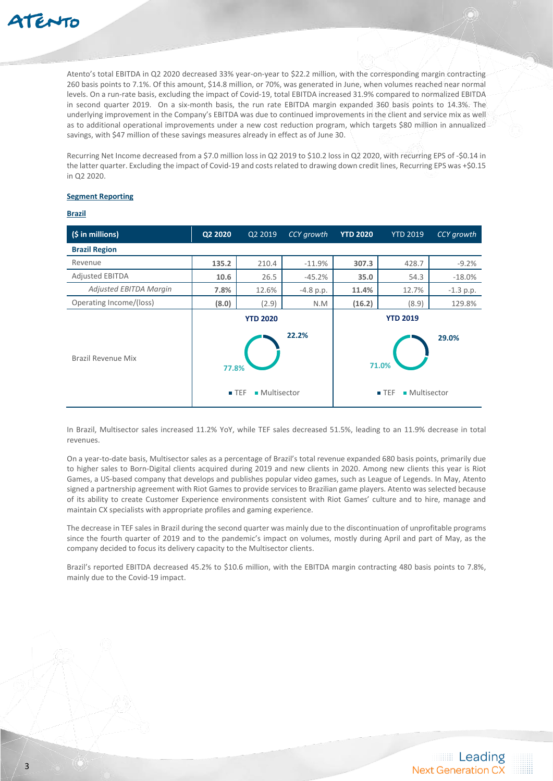Atento's total EBITDA in Q2 2020 decreased 33% year-on-year to \$22.2 million, with the corresponding margin contracting 260 basis points to 7.1%. Of this amount, \$14.8 million, or 70%, was generated in June, when volumes reached near normal levels. On a run-rate basis, excluding the impact of Covid-19, total EBITDA increased 31.9% compared to normalized EBITDA in second quarter 2019. On a six-month basis, the run rate EBITDA margin expanded 360 basis points to 14.3%. The underlying improvement in the Company's EBITDA was due to continued improvements in the client and service mix as well as to additional operational improvements under a new cost reduction program, which targets \$80 million in annualized savings, with \$47 million of these savings measures already in effect as of June 30.

Recurring Net Income decreased from a \$7.0 million loss in Q2 2019 to \$10.2 loss in Q2 2020, with recurring EPS of -\$0.14 in the latter quarter. Excluding the impact of Covid-19 and costs related to drawing down credit lines, Recurring EPS was +\$0.15 in Q2 2020.

### **Segment Reporting**

## **Brazil**

| (\$ in millions)              | Q2 2020 | Q2 2019                             | CCY growth  | <b>YTD 2020</b>                     | <b>YTD 2019</b> | CCY growth  |  |
|-------------------------------|---------|-------------------------------------|-------------|-------------------------------------|-----------------|-------------|--|
| <b>Brazil Region</b>          |         |                                     |             |                                     |                 |             |  |
| Revenue                       | 135.2   | 210.4                               | $-11.9%$    | 307.3                               | 428.7           | $-9.2%$     |  |
| <b>Adjusted EBITDA</b>        | 10.6    | 26.5                                | $-45.2%$    | 35.0                                | 54.3            | $-18.0\%$   |  |
| <b>Adjusted EBITDA Margin</b> | 7.8%    | 12.6%                               | $-4.8$ p.p. | 11.4%                               | 12.7%           | $-1.3$ p.p. |  |
| Operating Income/(loss)       | (8.0)   | (2.9)                               | N.M         | (16.2)                              | (8.9)           | 129.8%      |  |
|                               |         | <b>YTD 2020</b>                     |             | <b>YTD 2019</b>                     |                 |             |  |
| Brazil Revenue Mix            | 77.8%   |                                     | 22.2%       |                                     | 71.0%           | 29.0%       |  |
|                               |         | ■ Multisector<br>$\blacksquare$ TEF |             | • Multisector<br>$\blacksquare$ TEF |                 |             |  |

In Brazil, Multisector sales increased 11.2% YoY, while TEF sales decreased 51.5%, leading to an 11.9% decrease in total revenues.

On a year-to-date basis, Multisector sales as a percentage of Brazil's total revenue expanded 680 basis points, primarily due to higher sales to Born-Digital clients acquired during 2019 and new clients in 2020. Among new clients this year is Riot Games, a US-based company that develops and publishes popular video games, such as League of Legends. In May, Atento signed a partnership agreement with Riot Games to provide services to Brazilian game players. Atento was selected because of its ability to create Customer Experience environments consistent with Riot Games' culture and to hire, manage and maintain CX specialists with appropriate profiles and gaming experience.

The decrease in TEF sales in Brazil during the second quarter was mainly due to the discontinuation of unprofitable programs since the fourth quarter of 2019 and to the pandemic's impact on volumes, mostly during April and part of May, as the company decided to focus its delivery capacity to the Multisector clients.

Brazil's reported EBITDA decreased 45.2% to \$10.6 million, with the EBITDA margin contracting 480 basis points to 7.8%, mainly due to the Covid-19 impact.

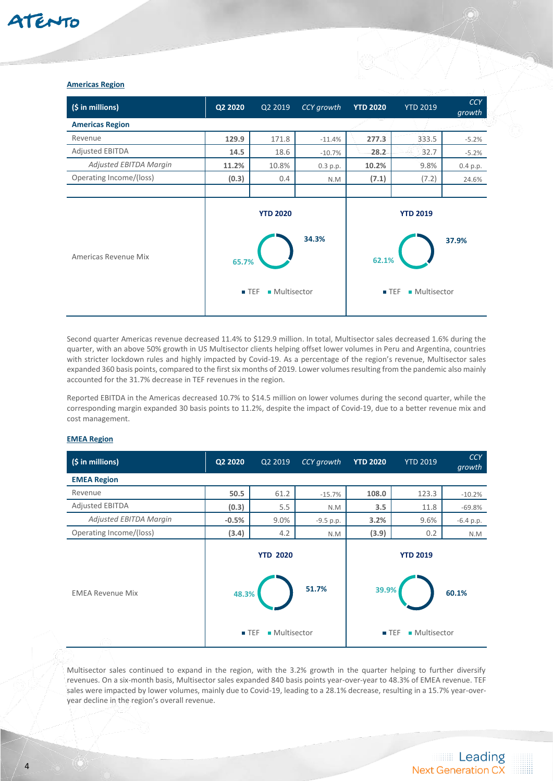## **Americas Region**

| (\$ in millions)        | Q2 2020 | Q2 2019                                                | CCY growth | <b>YTD 2020</b> | <b>YTD 2019</b>                                        | <b>CCY</b><br>growth |
|-------------------------|---------|--------------------------------------------------------|------------|-----------------|--------------------------------------------------------|----------------------|
| <b>Americas Region</b>  |         |                                                        |            |                 |                                                        |                      |
| Revenue                 | 129.9   | 171.8                                                  | $-11.4%$   | 277.3           | 333.5                                                  | $-5.2%$              |
| <b>Adjusted EBITDA</b>  | 14.5    | 18.6                                                   | $-10.7%$   | 28.2            | 32.7                                                   | $-5.2%$              |
| Adjusted EBITDA Margin  | 11.2%   | 10.8%                                                  | 0.3 p.p.   | 10.2%           | 9.8%                                                   | 0.4 p.p.             |
| Operating Income/(loss) | (0.3)   | 0.4                                                    | N.M        | (7.1)           | (7.2)                                                  | 24.6%                |
|                         |         |                                                        |            |                 |                                                        |                      |
| Americas Revenue Mix    | 65.7%   | <b>YTD 2020</b><br>• Multisector<br>$\blacksquare$ TEF | 34.3%      | 62.1%           | <b>YTD 2019</b><br>$\blacksquare$ TEF<br>• Multisector | 37.9%                |

Second quarter Americas revenue decreased 11.4% to \$129.9 million. In total, Multisector sales decreased 1.6% during the quarter, with an above 50% growth in US Multisector clients helping offset lower volumes in Peru and Argentina, countries with stricter lockdown rules and highly impacted by Covid-19. As a percentage of the region's revenue, Multisector sales expanded 360 basis points, compared to the first six months of 2019. Lower volumes resulting from the pandemic also mainly accounted for the 31.7% decrease in TEF revenues in the region.

Reported EBITDA in the Americas decreased 10.7% to \$14.5 million on lower volumes during the second quarter, while the corresponding margin expanded 30 basis points to 11.2%, despite the impact of Covid-19, due to a better revenue mix and cost management.

#### **EMEA Region**

| (\$ in millions)        | Q2 2020 | Q2 2019                                                | CCY growth  | <b>YTD 2020</b> | <b>YTD 2019</b>                                        | <b>CCY</b><br>growth |
|-------------------------|---------|--------------------------------------------------------|-------------|-----------------|--------------------------------------------------------|----------------------|
| <b>EMEA Region</b>      |         |                                                        |             |                 |                                                        |                      |
| Revenue                 | 50.5    | 61.2                                                   | $-15.7%$    | 108.0           | 123.3                                                  | $-10.2%$             |
| <b>Adjusted EBITDA</b>  | (0.3)   | 5.5                                                    | N.M         | 3.5             | 11.8                                                   | $-69.8%$             |
| Adjusted EBITDA Margin  | $-0.5%$ | 9.0%                                                   | $-9.5$ p.p. | 3.2%            | 9.6%                                                   | $-6.4$ p.p.          |
| Operating Income/(loss) | (3.4)   | 4.2                                                    | N.M         | (3.9)           | 0.2                                                    | N.M                  |
| <b>EMEA Revenue Mix</b> | 48.3%   | <b>YTD 2020</b><br>■ Multisector<br>$\blacksquare$ TEF | 51.7%       | 39.9%           | <b>YTD 2019</b><br>• Multisector<br>$\blacksquare$ TEF | 60.1%                |

Multisector sales continued to expand in the region, with the 3.2% growth in the quarter helping to further diversify revenues. On a six-month basis, Multisector sales expanded 840 basis points year-over-year to 48.3% of EMEA revenue. TEF sales were impacted by lower volumes, mainly due to Covid-19, leading to a 28.1% decrease, resulting in a 15.7% year-overyear decline in the region's overall revenue.

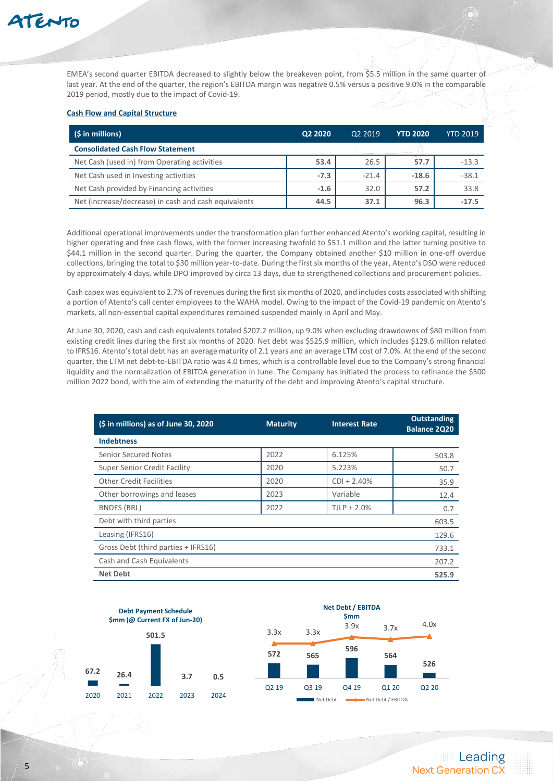EMEA's second quarter EBITDA decreased to slightly below the breakeven point, from \$5.5 million in the same quarter of last year. At the end of the quarter, the region's EBITDA margin was negative 0.5% versus a positive 9.0% in the comparable 2019 period, mostly due to the impact of Covid-19.

## **Cash Flow and Capital Structure**

| (\$ in millions)                                     | Q2 2020 | Q2 2019 | <b>YTD 2020</b> | <b>YTD 2019</b> |
|------------------------------------------------------|---------|---------|-----------------|-----------------|
| <b>Consolidated Cash Flow Statement</b>              |         |         |                 |                 |
| Net Cash (used in) from Operating activities         | 53.4    | 26.5    | 57.7            | $-13.3$         |
| Net Cash used in Investing activities                | $-7.3$  | $-21.4$ | $-18.6$         | $-38.1$         |
| Net Cash provided by Financing activities            | $-1.6$  | 32.0    | 57.2            | 33.8            |
| Net (increase/decrease) in cash and cash equivalents | 44.5    | 37.1    | 96.3            | $-17.5$         |

Additional operational improvements under the transformation plan further enhanced Atento's working capital, resulting in higher operating and free cash flows, with the former increasing twofold to \$51.1 million and the latter turning positive to \$44.1 million in the second quarter. During the quarter, the Company obtained another \$10 million in one-off overdue collections, bringing the total to \$30 million year-to-date. During the first six months of the year, Atento's DSO were reduced by approximately 4 days, while DPO improved by circa 13 days, due to strengthened collections and procurement policies.

Cash capex was equivalent to 2.7% of revenues during the first six months of 2020, and includes costs associated with shifting a portion of Atento's call center employees to the WAHA model. Owing to the impact of the Covid-19 pandemic on Atento's markets, all non-essential capital expenditures remained suspended mainly in April and May.

At June 30, 2020, cash and cash equivalents totaled \$207.2 million, up 9.0% when excluding drawdowns of \$80 million from existing credit lines during the first six months of 2020. Net debt was \$525.9 million, which includes \$129.6 million related to IFRS16. Atento'stotal debt has an average maturity of 2.1 years and an average LTM cost of 7.0%. At the end of the second quarter, the LTM net debt-to-EBITDA ratio was 4.0 times, which is a controllable level due to the Company's strong financial liquidity and the normalization of EBITDA generation in June. The Company has initiated the process to refinance the \$500 million 2022 bond, with the aim of extending the maturity of the debt and improving Atento's capital structure.

| (\$ in millions) as of June 30, 2020 | <b>Maturity</b> | <b>Interest Rate</b> | <b>Outstanding</b><br><b>Balance 2Q20</b> |
|--------------------------------------|-----------------|----------------------|-------------------------------------------|
| <b>Indebtness</b>                    |                 |                      |                                           |
| <b>Senior Secured Notes</b>          | 2022            | 6.125%               | 503.8                                     |
| <b>Super Senior Credit Facility</b>  | 2020            | 5.223%               | 50.7                                      |
| <b>Other Credit Facilities</b>       | 2020            | $CDI + 2.40%$        | 35.9                                      |
| Other borrowings and leases          | 2023            | Variable             | 12.4                                      |
| <b>BNDES (BRL)</b>                   | 2022            | $TJLP + 2.0\%$       | 0.7                                       |
| Debt with third parties              |                 |                      | 603.5                                     |
| Leasing (IFRS16)                     |                 |                      | 129.6                                     |
| Gross Debt (third parties + IFRS16)  |                 |                      | 733.1                                     |
| Cash and Cash Equivalents            |                 |                      | 207.2                                     |
| <b>Net Debt</b>                      |                 |                      | 525.9                                     |



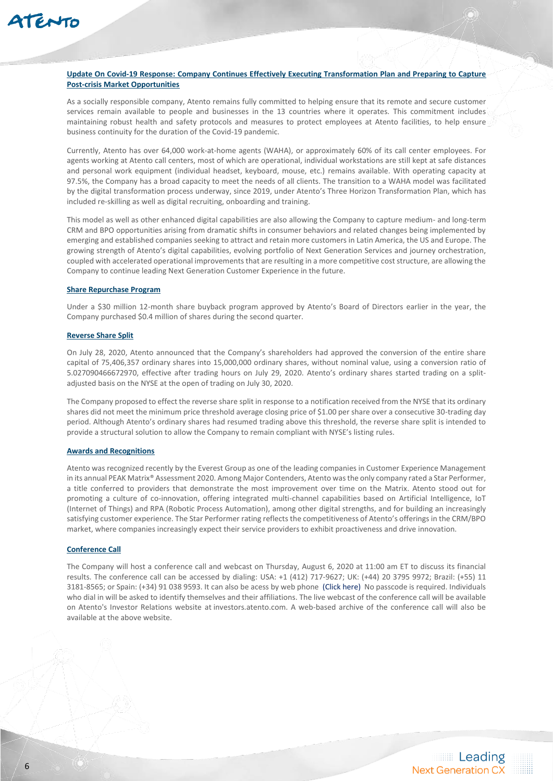### **Update On Covid-19 Response: Company Continues Effectively Executing Transformation Plan and Preparing to Capture Post-crisis Market Opportunities**

As a socially responsible company, Atento remains fully committed to helping ensure that its remote and secure customer services remain available to people and businesses in the 13 countries where it operates. This commitment includes maintaining robust health and safety protocols and measures to protect employees at Atento facilities, to help ensure business continuity for the duration of the Covid-19 pandemic.

Currently, Atento has over 64,000 work-at-home agents (WAHA), or approximately 60% of its call center employees. For agents working at Atento call centers, most of which are operational, individual workstations are still kept at safe distances and personal work equipment (individual headset, keyboard, mouse, etc.) remains available. With operating capacity at 97.5%, the Company has a broad capacity to meet the needs of all clients. The transition to a WAHA model was facilitated by the digital transformation process underway, since 2019, under Atento's Three Horizon Transformation Plan, which has included re-skilling as well as digital recruiting, onboarding and training.

This model as well as other enhanced digital capabilities are also allowing the Company to capture medium- and long-term CRM and BPO opportunities arising from dramatic shifts in consumer behaviors and related changes being implemented by emerging and established companies seeking to attract and retain more customers in Latin America, the US and Europe. The growing strength of Atento's digital capabilities, evolving portfolio of Next Generation Services and journey orchestration, coupled with accelerated operational improvements that are resulting in a more competitive cost structure, are allowing the Company to continue leading Next Generation Customer Experience in the future.

### **Share Repurchase Program**

Under a \$30 million 12-month share buyback program approved by Atento's Board of Directors earlier in the year, the Company purchased \$0.4 million of shares during the second quarter.

#### **Reverse Share Split**

On July 28, 2020, Atento announced that the Company's shareholders had approved the conversion of the entire share capital of 75,406,357 ordinary shares into 15,000,000 ordinary shares, without nominal value, using a conversion ratio of 5.027090466672970, effective after trading hours on July 29, 2020. Atento's ordinary shares started trading on a splitadjusted basis on the NYSE at the open of trading on July 30, 2020.

The Company proposed to effect the reverse share split in response to a notification received from the NYSE that its ordinary shares did not meet the minimum price threshold average closing price of \$1.00 per share over a consecutive 30-trading day period. Although Atento's ordinary shares had resumed trading above this threshold, the reverse share split is intended to provide a structural solution to allow the Company to remain compliant with NYSE's listing rules.

## **Awards and Recognitions**

Atento was recognized recently by the Everest Group as one of the leading companies in Customer Experience Management in its annual PEAK Matrix® Assessment 2020. Among Major Contenders, Atento was the only company rated a Star Performer, a title conferred to providers that demonstrate the most improvement over time on the Matrix. Atento stood out for promoting a culture of co-innovation, offering integrated multi-channel capabilities based on Artificial Intelligence, IoT (Internet of Things) and RPA (Robotic Process Automation), among other digital strengths, and for building an increasingly satisfying customer experience. The Star Performer rating reflects the competitiveness of Atento's offerings in the CRM/BPO market, where companies increasingly expect their service providers to exhibit proactiveness and drive innovation.

## **Conference Call**

The Company will host a conference call and webcast on Thursday, August 6, 2020 at 11:00 am ET to discuss its financial results. The conference call can be accessed by dialing: USA: +1 (412) 717-9627; UK: (+44) 20 3795 9972; Brazil: (+55) 11 3181-8565; or Spain: (+34) 91 038 9593. It can also be acess by web phone [\(Click here\)](https://hdbr.choruscall.com/?passcode=9656611&h=true&info=company&r=true) No passcode is required. Individuals who dial in will be asked to identify themselves and their affiliations. The live webcast of the conference call will be available on Atento's Investor Relations website at [investors.atento.com.](http://investors.atento.com/) A web-based archive of the conference call will also be available at the above website.

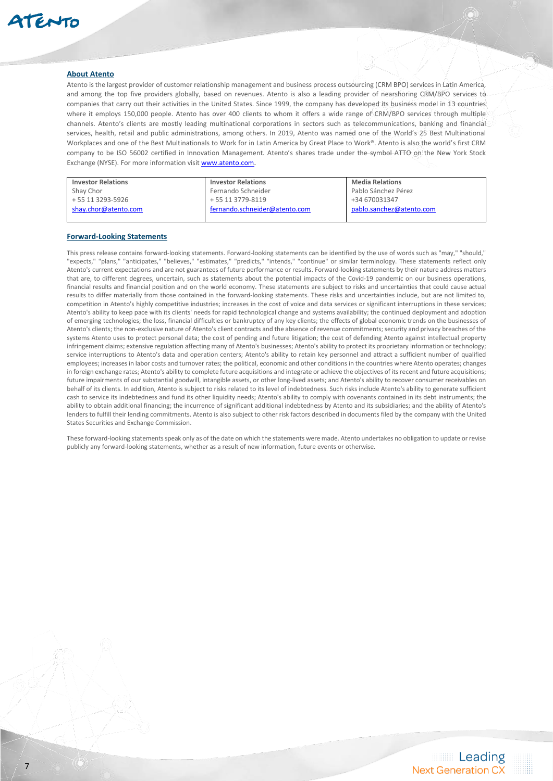

#### **About Atento**

Atento is the largest provider of customer relationship management and business process outsourcing (CRM BPO) services in Latin America, and among the top five providers globally, based on revenues. Atento is also a leading provider of nearshoring CRM/BPO services to companies that carry out their activities in the United States. Since 1999, the company has developed its business model in 13 countries where it employs 150,000 people. Atento has over 400 clients to whom it offers a wide range of CRM/BPO services through multiple channels. Atento's clients are mostly leading multinational corporations in sectors such as telecommunications, banking and financial services, health, retail and public administrations, among others. In 2019, Atento was named one of the World's 25 Best Multinational Workplaces and one of the Best Multinationals to Work for in Latin America by Great Place to Work®. Atento is also the world's first CRM company to be ISO 56002 certified in Innovation Management. Atento's shares trade under the symbol ATTO on the New York Stock Exchange (NYSE). For more information visit [www.atento.com.](http://www.atento.com/)

| <b>Investor Relations</b> | <b>Investor Relations</b>     | <b>Media Relations</b>   |
|---------------------------|-------------------------------|--------------------------|
| Shay Chor                 | Fernando Schneider            | Pablo Sánchez Pérez      |
| + 55 11 3293-5926         | + 55 11 3779-8119             | +34 670031347            |
| shay.chor@atento.com      | fernando.schneider@atento.com | pablo.sanchez@atento.com |

#### **Forward-Looking Statements**

This press release contains forward-looking statements. Forward-looking statements can be identified by the use of words such as "may," "should," "expects," "plans," "anticipates," "believes," "estimates," "predicts," "intends," "continue" or similar terminology. These statements reflect only Atento's current expectations and are not guarantees of future performance or results. Forward-looking statements by their nature address matters that are, to different degrees, uncertain, such as statements about the potential impacts of the Covid-19 pandemic on our business operations, financial results and financial position and on the world economy. These statements are subject to risks and uncertainties that could cause actual results to differ materially from those contained in the forward-looking statements. These risks and uncertainties include, but are not limited to, competition in Atento's highly competitive industries; increases in the cost of voice and data services or significant interruptions in these services; Atento's ability to keep pace with its clients' needs for rapid technological change and systems availability; the continued deployment and adoption of emerging technologies; the loss, financial difficulties or bankruptcy of any key clients; the effects of global economic trends on the businesses of Atento's clients; the non-exclusive nature of Atento's client contracts and the absence of revenue commitments; security and privacy breaches of the systems Atento uses to protect personal data; the cost of pending and future litigation; the cost of defending Atento against intellectual property infringement claims; extensive regulation affecting many of Atento's businesses; Atento's ability to protect its proprietary information or technology; service interruptions to Atento's data and operation centers; Atento's ability to retain key personnel and attract a sufficient number of qualified employees; increases in labor costs and turnover rates; the political, economic and other conditions in the countries where Atento operates; changes in foreign exchange rates; Atento's ability to complete future acquisitions and integrate or achieve the objectives of its recent and future acquisitions; future impairments of our substantial goodwill, intangible assets, or other long-lived assets; and Atento's ability to recover consumer receivables on behalf of its clients. In addition, Atento is subject to risks related to its level of indebtedness. Such risks include Atento's ability to generate sufficient cash to service its indebtedness and fund its other liquidity needs; Atento's ability to comply with covenants contained in its debt instruments; the ability to obtain additional financing; the incurrence of significant additional indebtedness by Atento and its subsidiaries; and the ability of Atento's lenders to fulfill their lending commitments. Atento is also subject to other risk factors described in documents filed by the company with the United States Securities and Exchange Commission.

These forward-looking statements speak only as of the date on which the statements were made. Atento undertakes no obligation to update or revise publicly any forward-looking statements, whether as a result of new information, future events or otherwise.

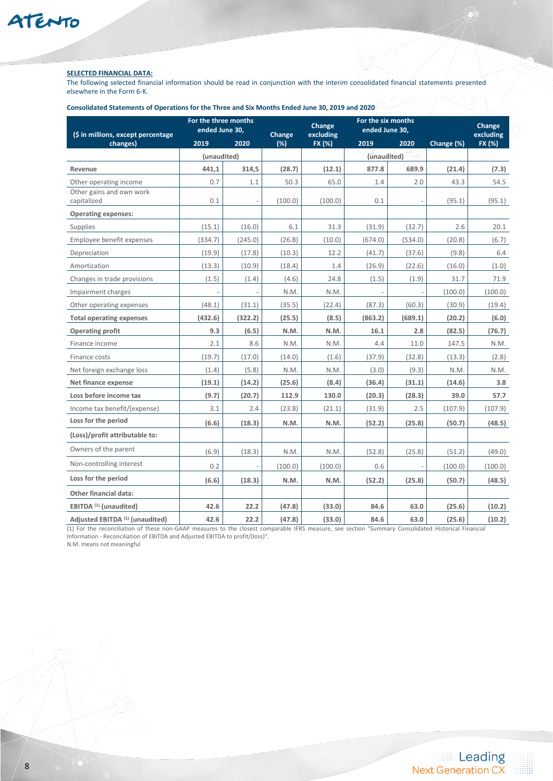## **SELECTED FINANCIAL DATA:**

The following selected financial information should be read in conjunction with the interim consolidated financial statements presented elsewhere in the Form 6-K.

**Consolidated Statements of Operations for the Three and Six Months Ended June 30, 2019 and 2020**

| (\$ in millions, except percentage      | For the three months<br>ended June 30, |         | Change  | For the six months<br>Change<br>ended June 30,<br>excluding |             |         |            | Change<br>excluding |
|-----------------------------------------|----------------------------------------|---------|---------|-------------------------------------------------------------|-------------|---------|------------|---------------------|
| changes)                                | 2019                                   | 2020    | (%)     | FX (%)                                                      | 2019        | 2020    | Change (%) | FX (%)              |
|                                         | (unaudited)                            |         |         |                                                             | (unaudited) |         |            |                     |
| Revenue                                 | 441,1                                  | 314,5   | (28.7)  | (12.1)                                                      | 877.8       | 689.9   | (21.4)     | (7.3)               |
| Other operating income                  | 0.7                                    | 1.1     | 50.3    | 65.0                                                        | 1.4         | 2.0     | 43.3       | 54.5                |
| Other gains and own work<br>capitalized | 0.1                                    |         | (100.0) | (100.0)                                                     | 0.1         |         | (95.1)     | (95.1)              |
| <b>Operating expenses:</b>              |                                        |         |         |                                                             |             |         |            |                     |
| <b>Supplies</b>                         | (15.1)                                 | (16.0)  | 6.1     | 31.3                                                        | (31.9)      | (32.7)  | 2.6        | 20.1                |
| Employee benefit expenses               | (334.7)                                | (245.0) | (26.8)  | (10.0)                                                      | (674.0)     | (534.0) | (20.8)     | (6.7)               |
| Depreciation                            | (19.9)                                 | (17.8)  | (10.3)  | 12.2                                                        | (41.7)      | (37.6)  | (9.8)      | 6.4                 |
| Amortization                            | (13.3)                                 | (10.9)  | (18.4)  | 1.4                                                         | (26.9)      | (22.6)  | (16.0)     | (1.0)               |
| Changes in trade provisions             | (1.5)                                  | (1.4)   | (4.6)   | 24.8                                                        | (1.5)       | (1.9)   | 31.7       | 71.9                |
| Impairment charges                      |                                        |         | N.M.    | N.M.                                                        |             |         | (100.0)    | (100.0)             |
| Other operating expenses                | (48.1)                                 | (31.1)  | (35.5)  | (22.4)                                                      | (87.3)      | (60.3)  | (30.9)     | (19.4)              |
| <b>Total operating expenses</b>         | (432.6)                                | (322.2) | (25.5)  | (8.5)                                                       | (863.2)     | (689.1) | (20.2)     | (6.0)               |
| Operating profit                        | 9.3                                    | (6.5)   | N.M.    | N.M.                                                        | 16.1        | 2.8     | (82.5)     | (76.7)              |
| Finance income                          | 2.1                                    | 8.6     | N.M.    | N.M.                                                        | 4.4         | 11.0    | 147.5      | N.M.                |
| Finance costs                           | (19.7)                                 | (17.0)  | (14.0)  | (1.6)                                                       | (37.9)      | (32.8)  | (13.3)     | (2.8)               |
| Net foreign exchange loss               | (1.4)                                  | (5.8)   | N.M.    | N.M.                                                        | (3.0)       | (9.3)   | N.M.       | N.M.                |
| Net finance expense                     | (19.1)                                 | (14.2)  | (25.6)  | (8.4)                                                       | (36.4)      | (31.1)  | (14.6)     | 3.8                 |
| Loss before income tax                  | (9.7)                                  | (20.7)  | 112.9   | 130.0                                                       | (20.3)      | (28.3)  | 39.0       | 57.7                |
| Income tax benefit/(expense)            | 3.1                                    | 2.4     | (23.8)  | (21.1)                                                      | (31.9)      | 2.5     | (107.9)    | (107.9)             |
| Loss for the period                     | (6.6)                                  | (18.3)  | N.M.    | N.M.                                                        | (52.2)      | (25.8)  | (50.7)     | (48.5)              |
| (Loss)/profit attributable to:          |                                        |         |         |                                                             |             |         |            |                     |
| Owners of the parent                    | (6.9)                                  | (18.3)  | N.M.    | N.M.                                                        | (52.8)      | (25.8)  | (51.2)     | (49.0)              |
| Non-controlling interest                | 0.2                                    |         | (100.0) | (100.0)                                                     | 0.6         |         | (100.0)    | (100.0)             |
| Loss for the period                     | (6.6)                                  | (18.3)  | N.M.    | N.M.                                                        | (52.2)      | (25.8)  | (50.7)     | (48.5)              |
| <b>Other financial data:</b>            |                                        |         |         |                                                             |             |         |            |                     |
| EBITDA <sup>(1)</sup> (unaudited)       | 42.6                                   | 22.2    | (47.8)  | (33.0)                                                      | 84.6        | 63.0    | (25.6)     | (10.2)              |
| Adjusted EBITDA (1) (unaudited)         | 42.6                                   | 22.2    | (47.8)  | (33.0)                                                      | 84.6        | 63.0    | (25.6)     | (10.2)              |

(1) For the reconciliation of these non-GAAP measures to the closest comparable IFRS measure, see section "Summary Consolidated Historical Financial Information - Reconciliation of EBITDA and Adjusted EBITDA to profit/(loss)".

N.M. means not meaningful

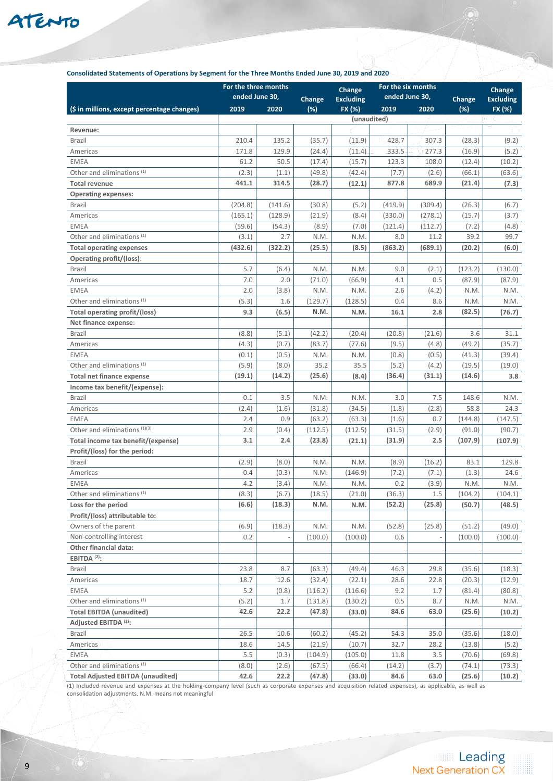|                                             | For the three months |                |                   | Change           |                | For the six months |                  | Change           |  |
|---------------------------------------------|----------------------|----------------|-------------------|------------------|----------------|--------------------|------------------|------------------|--|
|                                             |                      | ended June 30, | Change            | <b>Excluding</b> | ended June 30, |                    | Change           | <b>Excluding</b> |  |
| (\$ in millions, except percentage changes) | 2019                 | 2020           | (%)               | FX (%)           | 2019           | 2020               | (%)              | FX (%)           |  |
|                                             |                      |                |                   | (unaudited)      |                |                    |                  |                  |  |
| Revenue:                                    |                      |                |                   |                  |                |                    |                  |                  |  |
| <b>Brazil</b>                               | 210.4                | 135.2          | (35.7)            | (11.9)           | 428.7          | 307.3              | (28.3)           | (9.2)            |  |
| Americas                                    | 171.8                | 129.9          | (24.4)            | (11.4)           | 333.5          | 277.3              | (16.9)           | (5.2)            |  |
| <b>EMEA</b>                                 | 61.2                 | 50.5           | (17.4)            | (15.7)           | 123.3          | 108.0              | (12.4)           | (10.2)           |  |
| Other and eliminations <sup>(1)</sup>       | (2.3)                | (1.1)          | (49.8)            | (42.4)           | (7.7)          | (2.6)              | (66.1)           | (63.6)           |  |
| <b>Total revenue</b>                        | 441.1                | 314.5          | (28.7)            | (12.1)           | 877.8          | 689.9              | (21.4)           | (7.3)            |  |
| <b>Operating expenses:</b>                  |                      |                |                   |                  |                |                    |                  |                  |  |
| Brazil                                      | (204.8)              | (141.6)        | (30.8)            | (5.2)            | (419.9)        | (309.4)            | (26.3)           | (6.7)            |  |
| Americas                                    | (165.1)              | (128.9)        | (21.9)            | (8.4)            | (330.0)        | (278.1)            | (15.7)           | (3.7)            |  |
| <b>EMEA</b>                                 | (59.6)               | (54.3)         | (8.9)             | (7.0)            | (121.4)        | (112.7)            | (7.2)            | (4.8)            |  |
| Other and eliminations <sup>(1)</sup>       | (3.1)                | 2.7            | N.M.              | N.M.             | 8.0            | 11.2               | 39.2             | 99.7             |  |
| <b>Total operating expenses</b>             | (432.6)              | (322.2)        | (25.5)            | (8.5)            | (863.2)        | (689.1)            | (20.2)           | (6.0)            |  |
| Operating profit/(loss):                    |                      |                |                   |                  |                |                    |                  |                  |  |
| Brazil                                      | 5.7                  | (6.4)          | N.M.              | N.M.             | 9.0            | (2.1)              | (123.2)          | (130.0)          |  |
| Americas                                    | 7.0                  | 2.0            | (71.0)            | (66.9)           | 4.1            | 0.5                | (87.9)           | (87.9)           |  |
| <b>EMEA</b>                                 | 2.0                  | (3.8)          | N.M.              | N.M.             | 2.6            | (4.2)              | N.M.             | N.M.             |  |
| Other and eliminations <sup>(1)</sup>       | (5.3)                | 1.6            | (129.7)           | (128.5)          | 0.4            | 8.6                | N.M.             | N.M.             |  |
| <b>Total operating profit/(loss)</b>        | 9.3                  | (6.5)          | N.M.              | N.M.             | 16.1           | 2.8                | (82.5)           | (76.7)           |  |
| Net finance expense:                        |                      |                |                   |                  |                |                    |                  |                  |  |
| <b>Brazil</b>                               | (8.8)                | (5.1)          | (42.2)            | (20.4)           | (20.8)         | (21.6)             | 3.6              | 31.1             |  |
| Americas                                    | (4.3)                | (0.7)          | (83.7)            | (77.6)           | (9.5)          | (4.8)              | (49.2)           | (35.7)           |  |
| <b>EMEA</b>                                 | (0.1)                | (0.5)          | N.M.              | N.M.             | (0.8)          | (0.5)              | (41.3)           | (39.4)           |  |
| Other and eliminations <sup>(1)</sup>       | (5.9)                | (8.0)          | 35.2              | 35.5             | (5.2)          | (4.2)              | (19.5)           | (19.0)           |  |
| <b>Total net finance expense</b>            | (19.1)               | (14.2)         | (25.6)            | (8.4)            | (36.4)         | (31.1)             | (14.6)           | 3.8              |  |
| Income tax benefit/(expense):               |                      |                |                   |                  |                |                    |                  |                  |  |
| Brazil                                      | 0.1                  | 3.5            | N.M.              | N.M.             | 3.0            | 7.5                | 148.6            | N.M.             |  |
| Americas                                    | (2.4)                | (1.6)          | (31.8)            | (34.5)           | (1.8)          | (2.8)              | 58.8             | 24.3             |  |
| <b>EMEA</b>                                 | 2.4                  | 0.9            | (63.2)            | (63.3)           | (1.6)          | 0.7                | (144.8)          | (147.5)          |  |
| Other and eliminations (1)(3)               | 2.9                  | (0.4)          | (112.5)           | (112.5)          | (31.5)         | (2.9)              | (91.0)           | (90.7)           |  |
| Total income tax benefit/(expense)          | 3.1                  | 2.4            | (23.8)            | (21.1)           | (31.9)         | 2.5                | (107.9)          | (107.9)          |  |
| Profit/(loss) for the period:               |                      |                |                   |                  |                |                    |                  |                  |  |
| <b>Brazil</b>                               | (2.9)                | (8.0)          | N.M.              | N.M.             | (8.9)          | (16.2)             | 83.1             | 129.8            |  |
| Americas                                    | 0.4                  | (0.3)          | N.M.              | (146.9)          | (7.2)          | (7.1)              | (1.3)            | 24.6             |  |
| <b>EMEA</b>                                 | 4.2                  | (3.4)          | N.M.              | N.M.             | 0.2            | (3.9)              | N.M.             | N.M.             |  |
| Other and eliminations (1)                  | (8.3)                | (6.7)          | (18.5)            | (21.0)           | (36.3)         | 1.5                | (104.2)          | (104.1)          |  |
| Loss for the period                         | (6.6)                | (18.3)         | N.M.              | N.M.             | (52.2)         | (25.8)             | (50.7)           | (48.5)           |  |
| Profit/(loss) attributable to:              |                      |                |                   |                  |                |                    |                  |                  |  |
| Owners of the parent                        | (6.9)                | (18.3)         | N.M.              | N.M.             | (52.8)         | (25.8)             | (51.2)           | (49.0)           |  |
| Non-controlling interest                    | 0.2                  |                | (100.0)           | (100.0)          | 0.6            |                    | (100.0)          | (100.0)          |  |
| Other financial data:                       |                      |                |                   |                  |                |                    |                  |                  |  |
| EBITDA $(2)$ :                              |                      |                |                   |                  |                |                    |                  |                  |  |
| Brazil                                      | 23.8                 | 8.7            | (63.3)            | (49.4)           | 46.3           | 29.8               | (35.6)           | (18.3)           |  |
| Americas                                    | 18.7                 | 12.6           | (32.4)            | (22.1)           | 28.6           | 22.8               | (20.3)           | (12.9)           |  |
| <b>EMEA</b>                                 | 5.2                  | (0.8)          | (116.2)           | (116.6)          | 9.2            | 1.7                | (81.4)           | (80.8)           |  |
| Other and eliminations <sup>(1)</sup>       | (5.2)                | 1.7            | (131.8)           | (130.2)          | 0.5            | 8.7                | N.M.             | N.M.             |  |
| <b>Total EBITDA (unaudited)</b>             | 42.6                 | 22.2           | (47.8)            | (33.0)           | 84.6           | 63.0               | (25.6)           | (10.2)           |  |
| Adjusted EBITDA <sup>(2)</sup> :            |                      |                |                   |                  |                |                    |                  |                  |  |
| Brazil                                      | 26.5                 | 10.6           | (60.2)            | (45.2)           | 54.3           | 35.0               | (35.6)           | (18.0)           |  |
| Americas                                    | 18.6                 | 14.5           |                   | (10.7)           | 32.7           |                    |                  |                  |  |
| <b>EMEA</b>                                 | 5.5                  | (0.3)          | (21.9)<br>(104.9) | (105.0)          |                | 28.2<br>3.5        | (13.8)<br>(70.6) | (5.2)            |  |
| Other and eliminations <sup>(1)</sup>       | (8.0)                | (2.6)          | (67.5)            | (66.4)           | 11.8<br>(14.2) | (3.7)              | (74.1)           | (69.8)<br>(73.3) |  |
| <b>Total Adjusted EBITDA (unaudited)</b>    | 42.6                 | 22.2           | (47.8)            | (33.0)           | 84.6           | 63.0               | (25.6)           | (10.2)           |  |
|                                             |                      |                |                   |                  |                |                    |                  |                  |  |

## **Consolidated Statements of Operations by Segment for the Three Months Ended June 30, 2019 and 2020**

(1) Included revenue and expenses at the holding-company level (such as corporate expenses and acquisition related expenses), as applicable, as well as consolidation adjustments. N.M. means not meaningful

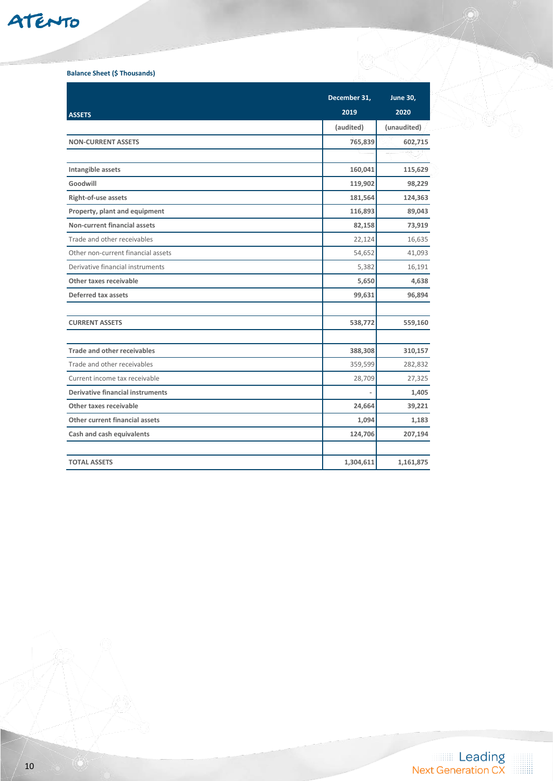## **Balance Sheet (\$ Thousands)**

|                                         | December 31, | <b>June 30,</b> |
|-----------------------------------------|--------------|-----------------|
| <b>ASSETS</b>                           | 2019         | 2020            |
|                                         | (audited)    | (unaudited)     |
| <b>NON-CURRENT ASSETS</b>               | 765,839      | 602,715         |
|                                         |              |                 |
| Intangible assets                       | 160,041      | 115,629         |
| Goodwill                                | 119,902      | 98,229          |
| Right-of-use assets                     | 181,564      | 124,363         |
| Property, plant and equipment           | 116,893      | 89,043          |
| <b>Non-current financial assets</b>     | 82,158       | 73,919          |
| Trade and other receivables             | 22,124       | 16,635          |
| Other non-current financial assets      | 54,652       | 41,093          |
| Derivative financial instruments        | 5,382        | 16,191          |
| Other taxes receivable                  | 5,650        | 4,638           |
| Deferred tax assets                     | 99,631       | 96,894          |
|                                         |              |                 |
| <b>CURRENT ASSETS</b>                   | 538,772      | 559,160         |
|                                         |              |                 |
| <b>Trade and other receivables</b>      | 388,308      | 310,157         |
| Trade and other receivables             | 359,599      | 282,832         |
| Current income tax receivable           | 28,709       | 27,325          |
| <b>Derivative financial instruments</b> |              | 1,405           |
| Other taxes receivable                  | 24,664       | 39,221          |
| Other current financial assets          | 1,094        | 1,183           |
| Cash and cash equivalents               | 124,706      | 207,194         |
|                                         |              |                 |
| <b>TOTAL ASSETS</b>                     | 1,304,611    | 1,161,875       |

 $\circledR$ 

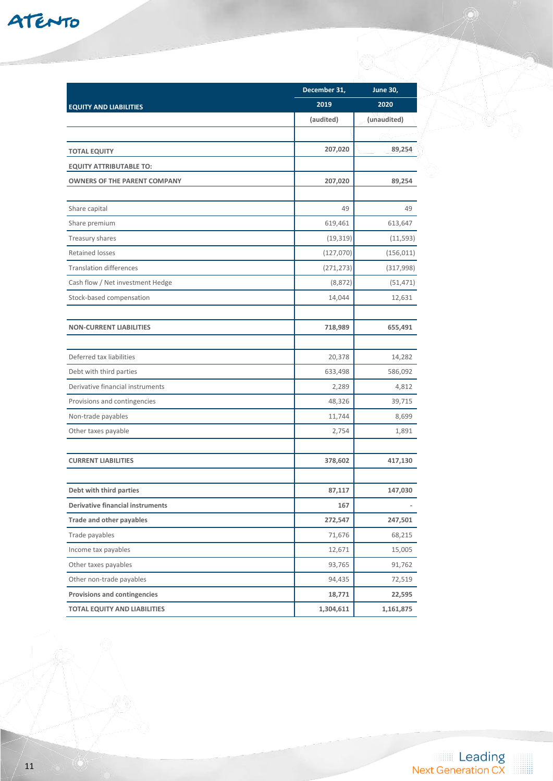|                                         | December 31, | <b>June 30,</b> |
|-----------------------------------------|--------------|-----------------|
| <b>EQUITY AND LIABILITIES</b>           | 2019         | 2020            |
|                                         | (audited)    | (unaudited)     |
|                                         |              |                 |
| <b>TOTAL EQUITY</b>                     | 207,020      | 89,254          |
| <b>EQUITY ATTRIBUTABLE TO:</b>          |              |                 |
| <b>OWNERS OF THE PARENT COMPANY</b>     | 207,020      | 89,254          |
|                                         |              |                 |
| Share capital                           | 49           | 49              |
| Share premium                           | 619,461      | 613,647         |
| Treasury shares                         | (19, 319)    | (11,593)        |
| <b>Retained losses</b>                  | (127,070)    | (156, 011)      |
| <b>Translation differences</b>          | (271, 273)   | (317,998)       |
| Cash flow / Net investment Hedge        | (8, 872)     | (51, 471)       |
| Stock-based compensation                | 14,044       | 12,631          |
|                                         |              |                 |
| <b>NON-CURRENT LIABILITIES</b>          | 718,989      | 655,491         |
|                                         |              |                 |
| Deferred tax liabilities                | 20,378       | 14,282          |
| Debt with third parties                 | 633,498      | 586,092         |
| Derivative financial instruments        | 2,289        | 4,812           |
| Provisions and contingencies            | 48,326       | 39,715          |
| Non-trade payables                      | 11,744       | 8,699           |
| Other taxes payable                     | 2,754        | 1,891           |
|                                         |              |                 |
| <b>CURRENT LIABILITIES</b>              | 378,602      | 417,130         |
|                                         |              |                 |
| Debt with third parties                 | 87,117       | 147,030         |
| <b>Derivative financial instruments</b> | 167          |                 |
| Trade and other payables                | 272,547      | 247,501         |
| Trade payables                          | 71,676       | 68,215          |
| Income tax payables                     | 12,671       | 15,005          |
| Other taxes payables                    | 93,765       | 91,762          |
| Other non-trade payables                | 94,435       | 72,519          |
| <b>Provisions and contingencies</b>     | 18,771       | 22,595          |
| <b>TOTAL EQUITY AND LIABILITIES</b>     | 1,304,611    | 1,161,875       |

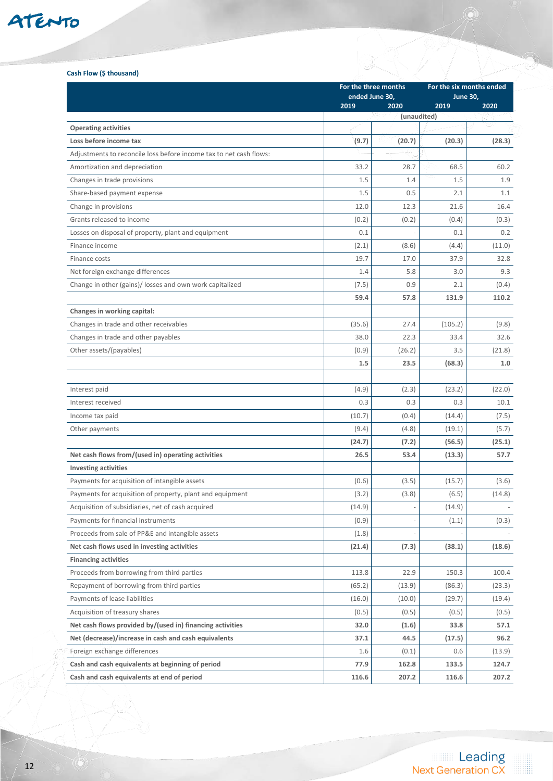## **Cash Flow (\$ thousand)**

|                                                                    |                        | For the three months |         | For the six months ended |  |
|--------------------------------------------------------------------|------------------------|----------------------|---------|--------------------------|--|
|                                                                    | ended June 30,<br>2019 | 2020                 | 2019    | <b>June 30,</b><br>2020  |  |
|                                                                    |                        | (unaudited)          |         |                          |  |
| <b>Operating activities</b>                                        |                        |                      |         |                          |  |
| Loss before income tax                                             | (9.7)                  | (20.7)               | (20.3)  | (28.3)                   |  |
| Adjustments to reconcile loss before income tax to net cash flows: |                        |                      |         |                          |  |
| Amortization and depreciation                                      | 33.2                   | 28.7                 | 68.5    | 60.2                     |  |
| Changes in trade provisions                                        | 1.5                    | 1.4                  | 1.5     | 1.9                      |  |
| Share-based payment expense                                        | 1.5                    | 0.5                  | 2.1     | 1.1                      |  |
| Change in provisions                                               | 12.0                   | 12.3                 | 21.6    | 16.4                     |  |
| Grants released to income                                          | (0.2)                  | (0.2)                | (0.4)   | (0.3)                    |  |
| Losses on disposal of property, plant and equipment                | 0.1                    |                      | 0.1     | 0.2                      |  |
| Finance income                                                     | (2.1)                  | (8.6)                | (4.4)   | (11.0)                   |  |
| Finance costs                                                      | 19.7                   | 17.0                 | 37.9    | 32.8                     |  |
| Net foreign exchange differences                                   | 1.4                    | 5.8                  | 3.0     | 9.3                      |  |
| Change in other (gains)/losses and own work capitalized            | (7.5)                  | 0.9                  | 2.1     | (0.4)                    |  |
|                                                                    | 59.4                   | 57.8                 | 131.9   | 110.2                    |  |
| Changes in working capital:                                        |                        |                      |         |                          |  |
| Changes in trade and other receivables                             | (35.6)                 | 27.4                 | (105.2) | (9.8)                    |  |
| Changes in trade and other payables                                | 38.0                   | 22.3                 | 33.4    | 32.6                     |  |
| Other assets/(payables)                                            | (0.9)                  | (26.2)               | 3.5     | (21.8)                   |  |
|                                                                    | 1.5                    | 23.5                 | (68.3)  | 1.0                      |  |
|                                                                    |                        |                      |         |                          |  |
| Interest paid                                                      | (4.9)                  | (2.3)                | (23.2)  | (22.0)                   |  |
| Interest received                                                  | 0.3                    | 0.3                  | 0.3     | 10.1                     |  |
| Income tax paid                                                    | (10.7)                 | (0.4)                | (14.4)  | (7.5)                    |  |
| Other payments                                                     | (9.4)                  | (4.8)                | (19.1)  | (5.7)                    |  |
|                                                                    | (24.7)                 | (7.2)                | (56.5)  | (25.1)                   |  |
| Net cash flows from/(used in) operating activities                 | 26.5                   | 53.4                 | (13.3)  | 57.7                     |  |
| <b>Investing activities</b>                                        |                        |                      |         |                          |  |
| Payments for acquisition of intangible assets                      | (0.6)                  | (3.5)                | (15.7)  | (3.6)                    |  |
| Payments for acquisition of property, plant and equipment          | (3.2)                  | (3.8)                | (6.5)   | (14.8)                   |  |
| Acquisition of subsidiaries, net of cash acquired                  | (14.9)                 |                      | (14.9)  |                          |  |
| Payments for financial instruments                                 | (0.9)                  |                      | (1.1)   | (0.3)                    |  |
| Proceeds from sale of PP&E and intangible assets                   | (1.8)                  |                      |         |                          |  |
| Net cash flows used in investing activities                        | (21.4)                 | (7.3)                | (38.1)  | (18.6)                   |  |
| <b>Financing activities</b>                                        |                        |                      |         |                          |  |
| Proceeds from borrowing from third parties                         | 113.8                  | 22.9                 | 150.3   | 100.4                    |  |
| Repayment of borrowing from third parties                          | (65.2)                 | (13.9)               | (86.3)  | (23.3)                   |  |
| Payments of lease liabilities                                      | (16.0)                 | (10.0)               | (29.7)  | (19.4)                   |  |
| Acquisition of treasury shares                                     | (0.5)                  | (0.5)                | (0.5)   | (0.5)                    |  |
| Net cash flows provided by/(used in) financing activities          | 32.0                   | (1.6)                | 33.8    | 57.1                     |  |
| Net (decrease)/increase in cash and cash equivalents               | 37.1                   | 44.5                 | (17.5)  | 96.2                     |  |
| Foreign exchange differences                                       | 1.6                    | (0.1)                | 0.6     | (13.9)                   |  |
| Cash and cash equivalents at beginning of period                   | 77.9                   | 162.8                | 133.5   | 124.7                    |  |
| Cash and cash equivalents at end of period                         | 116.6                  | 207.2                | 116.6   | 207.2                    |  |

 $\circledR$ 

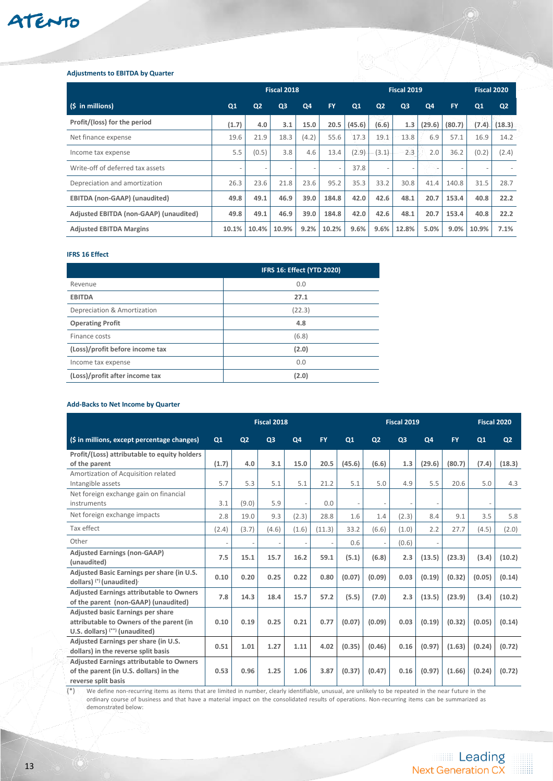## **Adjustments to EBITDA by Quarter**

|                                        | <b>Fiscal 2018</b> |                |                |        |           |        | <b>Fiscal 2019</b>       |                |        |           |                | <b>Fiscal 2020</b> |  |
|----------------------------------------|--------------------|----------------|----------------|--------|-----------|--------|--------------------------|----------------|--------|-----------|----------------|--------------------|--|
| (\$ in millions)                       | Q1                 | Q <sub>2</sub> | Q <sub>3</sub> | Q4     | <b>FY</b> | Q1     | Q <sub>2</sub>           | Q <sub>3</sub> | Q4     | <b>FY</b> | Q <sub>1</sub> | Q <sub>2</sub>     |  |
| Profit/(loss) for the period           | (1.7)              | 4.0            | 3.1            | 15.0   | 20.5      | (45.6) | (6.6)                    | 1.3            | (29.6) | (80.7)    | (7.4)          | (18.3)             |  |
| Net finance expense                    | 19.6               | 21.9           | 18.3           | (4.2)  | 55.6      | 17.3   | 19.1                     | 13.8           | 6.9    | 57.1      | 16.9           | 14.2               |  |
| Income tax expense                     | 5.5                | (0.5)          | 3.8            | 4.6    | 13.4      | (2.9)  | (3.1)                    | 2.3            | 2.0    | 36.2      | (0.2)          | (2.4)              |  |
| Write-off of deferred tax assets       |                    | -              |                | $\sim$ | ٠         | 37.8   | $\overline{\phantom{a}}$ |                |        |           | ۰              |                    |  |
| Depreciation and amortization          | 26.3               | 23.6           | 21.8           | 23.6   | 95.2      | 35.3   | 33.2                     | 30.8           | 41.4   | 140.8     | 31.5           | 28.7               |  |
| EBITDA (non-GAAP) (unaudited)          | 49.8               | 49.1           | 46.9           | 39.0   | 184.8     | 42.0   | 42.6                     | 48.1           | 20.7   | 153.4     | 40.8           | 22.2               |  |
| Adjusted EBITDA (non-GAAP) (unaudited) | 49.8               | 49.1           | 46.9           | 39.0   | 184.8     | 42.0   | 42.6                     | 48.1           | 20.7   | 153.4     | 40.8           | 22.2               |  |
| <b>Adjusted EBITDA Margins</b>         | 10.1%              | 10.4%          | 10.9%          | 9.2%   | 10.2%     | 9.6%   | 9.6%                     | 12.8%          | 5.0%   | 9.0%      | 10.9%          | 7.1%               |  |

### **IFRS 16 Effect**

|                                 | IFRS 16: Effect (YTD 2020) |
|---------------------------------|----------------------------|
| Revenue                         | 0.0                        |
| <b>EBITDA</b>                   | 27.1                       |
| Depreciation & Amortization     | (22.3)                     |
| <b>Operating Profit</b>         | 4.8                        |
| Finance costs                   | (6.8)                      |
| (Loss)/profit before income tax | (2.0)                      |
| Income tax expense              | 0.0                        |
| (Loss)/profit after income tax  | (2.0)                      |

## **Add-Backs to Net Income by Quarter**

|                                                                                                                        |       |                | <b>Fiscal 2018</b> |       |           |        |                          | <b>Fiscal 2019</b> |        |           |        | Fiscal 2020    |
|------------------------------------------------------------------------------------------------------------------------|-------|----------------|--------------------|-------|-----------|--------|--------------------------|--------------------|--------|-----------|--------|----------------|
| (\$ in millions, except percentage changes)                                                                            | Q1    | Q <sub>2</sub> | Q <sub>3</sub>     | Q4    | <b>FY</b> | Q1     | Q <sub>2</sub>           | Q <sub>3</sub>     | Q4     | <b>FY</b> | Q1     | Q <sub>2</sub> |
| Profit/(Loss) attributable to equity holders<br>of the parent                                                          | (1.7) | 4.0            | 3.1                | 15.0  | 20.5      | (45.6) | (6.6)                    | 1.3                | (29.6) | (80.7)    | (7.4)  | (18.3)         |
| Amortization of Acquisition related<br>Intangible assets                                                               | 5.7   | 5.3            | 5.1                | 5.1   | 21.2      | 5.1    | 5.0                      | 4.9                | 5.5    | 20.6      | 5.0    | 4.3            |
| Net foreign exchange gain on financial<br>instruments                                                                  | 3.1   | (9.0)          | 5.9                |       | 0.0       |        |                          |                    |        |           |        |                |
| Net foreign exchange impacts                                                                                           | 2.8   | 19.0           | 9.3                | (2.3) | 28.8      | 1.6    | 1.4                      | (2.3)              | 8.4    | 9.1       | 3.5    | 5.8            |
| Tax effect                                                                                                             | (2.4) | (3.7)          | (4.6)              | (1.6) | (11.3)    | 33.2   | (6.6)                    | (1.0)              | 2.2    | 27.7      | (4.5)  | (2.0)          |
| Other                                                                                                                  |       |                |                    |       |           | 0.6    | $\overline{\phantom{a}}$ | (0.6)              |        |           |        |                |
| <b>Adjusted Earnings (non-GAAP)</b><br>(unaudited)                                                                     | 7.5   | 15.1           | 15.7               | 16.2  | 59.1      | (5.1)  | (6.8)                    | 2.3                | (13.5) | (23.3)    | (3.4)  | (10.2)         |
| Adjusted Basic Earnings per share (in U.S.<br>dollars) (*) (unaudited).                                                | 0.10  | 0.20           | 0.25               | 0.22  | 0.80      | (0.07) | (0.09)                   | 0.03               | (0.19) | (0.32)    | (0.05) | (0.14)         |
| <b>Adjusted Earnings attributable to Owners</b><br>of the parent (non-GAAP) (unaudited)                                | 7.8   | 14.3           | 18.4               | 15.7  | 57.2      | (5.5)  | (7.0)                    | 2.3                | (13.5) | (23.9)    | (3.4)  | (10.2)         |
| <b>Adjusted basic Earnings per share</b><br>attributable to Owners of the parent (in<br>U.S. dollars) (**) (unaudited) | 0.10  | 0.19           | 0.25               | 0.21  | 0.77      | (0.07) | (0.09)                   | 0.03               | (0.19) | (0.32)    | (0.05) | (0.14)         |
| Adjusted Earnings per share (in U.S.<br>dollars) in the reverse split basis                                            | 0.51  | 1.01           | 1.27               | 1.11  | 4.02      | (0.35) | (0.46)                   | 0.16               | (0.97) | (1.63)    | (0.24) | (0.72)         |
| <b>Adjusted Earnings attributable to Owners</b><br>of the parent (in U.S. dollars) in the<br>reverse split basis       | 0.53  | 0.96           | 1.25               | 1.06  | 3.87      | (0.37) | (0.47)                   | 0.16               | (0.97) | (1.66)    | (0.24) | (0.72)         |

 $(*)$  We define non-recurring items as items that are limited in number, clearly identifiable, unusual, are unlikely to be repeated in the near future in the ordinary course of business and that have a material impact on the consolidated results of operations. Non-recurring items can be summarized as demonstrated below:

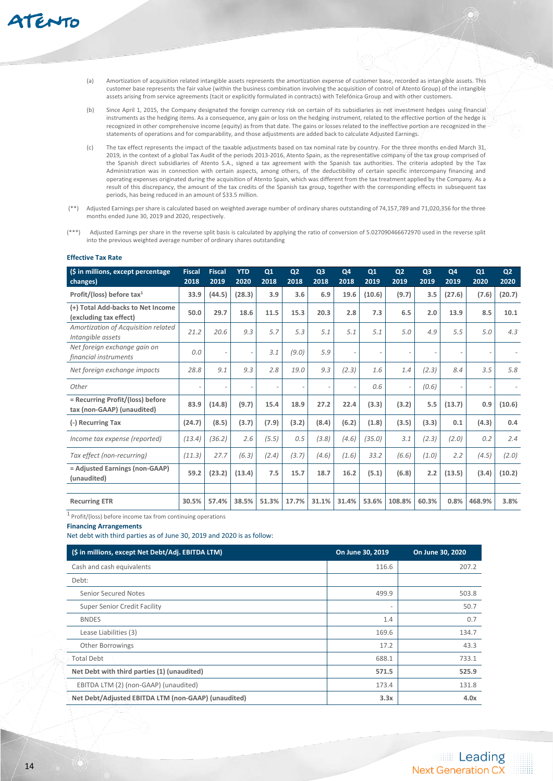- (a) Amortization of acquisition related intangible assets represents the amortization expense of customer base, recorded as intangible assets. This customer base represents the fair value (within the business combination involving the acquisition of control of Atento Group) of the intangible assets arising from service agreements (tacit or explicitly formulated in contracts) with Telefónica Group and with other customers.
- (b) Since April 1, 2015, the Company designated the foreign currency risk on certain of its subsidiaries as net investment hedges using financial instruments as the hedging items. As a consequence, any gain or loss on the hedging instrument, related to the effective portion of the hedge is recognized in other comprehensive income (equity) as from that date. The gains or losses related to the ineffective portion are recognized in the statements of operations and for comparability, and those adjustments are added back to calculate Adjusted Earnings.
- (c) The tax effect represents the impact of the taxable adjustments based on tax nominal rate by country. For the three months ended March 31, 2019, in the context of a global Tax Audit of the periods 2013-2016, Atento Spain, as the representative company of the tax group comprised of the Spanish direct subsidiaries of Atento S.A., signed a tax agreement with the Spanish tax authorities. The criteria adopted by the Tax Administration was in connection with certain aspects, among others, of the deductibility of certain specific intercompany financing and operating expenses originated during the acquisition of Atento Spain, which was different from the tax treatment applied by the Company. As a result of this discrepancy, the amount of the tax credits of the Spanish tax group, together with the corresponding effects in subsequent tax periods, has being reduced in an amount of \$33.5 million.
- (\*\*) Adjusted Earnings per share is calculated based on weighted average number of ordinary shares outstanding of 74,157,789 and 71,020,356 for the three months ended June 30, 2019 and 2020, respectively.
- (\*\*\*) Adjusted Earnings per share in the reverse split basis is calculated by applying the ratio of conversion of 5.027090466672970 used in the reverse split into the previous weighted average number of ordinary shares outstanding

| (\$ in millions, except percentage<br>changes)                 | <b>Fiscal</b><br>2018 | <b>Fiscal</b><br>2019    | <b>YTD</b><br>2020       | Q1<br>2018 | Q <sub>2</sub><br>2018 | Q <sub>3</sub><br>2018 | Q4<br>2018 | Q1<br>2019 | Q <sub>2</sub><br>2019   | Q <sub>3</sub><br>2019 | Q4<br>2019 | Q1<br>2020 | Q <sub>2</sub><br>2020 |
|----------------------------------------------------------------|-----------------------|--------------------------|--------------------------|------------|------------------------|------------------------|------------|------------|--------------------------|------------------------|------------|------------|------------------------|
| Profit/(loss) before tax <sup>1</sup>                          | 33.9                  | (44.5)                   | (28.3)                   | 3.9        | 3.6                    | 6.9                    | 19.6       | (10.6)     | (9.7)                    | 3.5                    | (27.6)     | (7.6)      | (20.7)                 |
| (+) Total Add-backs to Net Income<br>(excluding tax effect)    | 50.0                  | 29.7                     | 18.6                     | 11.5       | 15.3                   | 20.3                   | 2.8        | 7.3        | 6.5                      | 2.0                    | 13.9       | 8.5        | 10.1                   |
| Amortization of Acquisition related<br>Intanaible assets       | 21.2                  | 20.6                     | 9.3                      | 5.7        | 5.3                    | 5.1                    | 5.1        | 5.1        | 5.0                      | 4.9                    | 5.5        | 5.0        | 4.3                    |
| Net foreign exchange gain on<br>financial instruments          | 0.0                   | $\overline{\phantom{a}}$ | $\overline{\phantom{0}}$ | 3.1        | (9.0)                  | 5.9                    |            |            |                          |                        |            |            |                        |
| Net foreign exchange impacts                                   | 28.8                  | 9.1                      | 9.3                      | 2.8        | 19.0                   | 9.3                    | (2.3)      | 1.6        | 1.4                      | (2.3)                  | 8.4        | 3.5        | 5.8                    |
| Other                                                          |                       |                          | $\overline{\phantom{a}}$ |            |                        |                        |            | 0.6        | $\overline{\phantom{a}}$ | (0.6)                  |            |            |                        |
| = Recurring Profit/(loss) before<br>tax (non-GAAP) (unaudited) | 83.9                  | (14.8)                   | (9.7)                    | 15.4       | 18.9                   | 27.2                   | 22.4       | (3.3)      | (3.2)                    | 5.5                    | (13.7)     | 0.9        | (10.6)                 |
| (-) Recurring Tax                                              | (24.7)                | (8.5)                    | (3.7)                    | (7.9)      | (3.2)                  | (8.4)                  | (6.2)      | (1.8)      | (3.5)                    | (3.3)                  | 0.1        | (4.3)      | 0.4                    |
| Income tax expense (reported)                                  | (13.4)                | (36.2)                   | 2.6                      | (5.5)      | 0.5                    | (3.8)                  | (4.6)      | (35.0)     | 3.1                      | (2.3)                  | (2.0)      | 0.2        | 2.4                    |
| Tax effect (non-recurring)                                     | (11.3)                | 27.7                     | (6.3)                    | (2.4)      | (3.7)                  | (4.6)                  | (1.6)      | 33.2       | (6.6)                    | (1.0)                  | 2.2        | (4.5)      | (2.0)                  |
| = Adjusted Earnings (non-GAAP)<br>(unaudited)                  | 59.2                  | (23.2)                   | (13.4)                   | 7.5        | 15.7                   | 18.7                   | 16.2       | (5.1)      | (6.8)                    | 2.2                    | (13.5)     | (3.4)      | (10.2)                 |
|                                                                |                       |                          |                          |            |                        |                        |            |            |                          |                        |            |            |                        |
| <b>Recurring ETR</b>                                           | 30.5%                 | 57.4%                    | 38.5%                    | 51.3%      | 17.7%                  | 31.1%                  | 31.4%      | 53.6%      | 108.8%                   | 60.3%                  | 0.8%       | 468.9%     | 3.8%                   |

#### **Effective Tax Rate**

 $1$  Profit/(loss) before income tax from continuing operations

**Financing Arrangements**

Net debt with third parties as of June 30, 2019 and 2020 is as follow:

| (\$ in millions, except Net Debt/Adj. EBITDA LTM)   | On June 30, 2019 | On June 30, 2020 |
|-----------------------------------------------------|------------------|------------------|
| Cash and cash equivalents                           | 116.6            | 207.2            |
| Debt:                                               |                  |                  |
| Senior Secured Notes                                | 499.9            | 503.8            |
| <b>Super Senior Credit Facility</b>                 |                  | 50.7             |
| <b>BNDES</b>                                        | 1.4              | 0.7              |
| Lease Liabilities (3)                               | 169.6            | 134.7            |
| <b>Other Borrowings</b>                             | 17.2             | 43.3             |
| <b>Total Debt</b>                                   | 688.1            | 733.1            |
| Net Debt with third parties (1) (unaudited)         | 571.5            | 525.9            |
| EBITDA LTM (2) (non-GAAP) (unaudited)               | 173.4            | 131.8            |
| Net Debt/Adjusted EBITDA LTM (non-GAAP) (unaudited) | 3.3x             | 4.0x             |